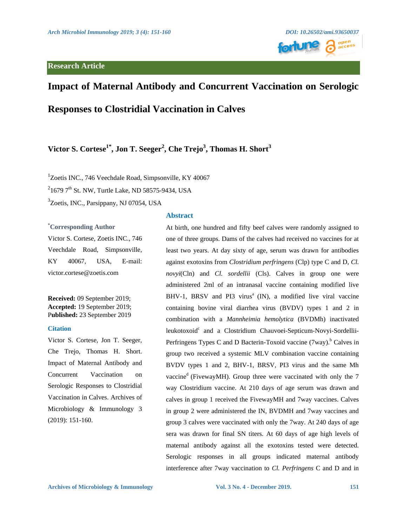

# **Impact of Maternal Antibody and Concurrent Vaccination on Serologic**

**Responses to Clostridial Vaccination in Calves**

# **Victor S. Cortese1\*, Jon T. Seeger<sup>2</sup> , Che Trejo<sup>3</sup> , Thomas H. Short<sup>3</sup>**

<sup>1</sup>Zoetis INC., 746 Veechdale Road, Simpsonville, KY 40067  $^{2}$ 1679 7<sup>th</sup> St. NW, Turtle Lake, ND 58575-9434, USA

<sup>3</sup>Zoetis, INC., Parsippany, NJ 07054, USA

## **\*Corresponding Author**

Victor S. Cortese, Zoetis INC., 746 Veechdale Road, Simpsonville, KY 40067, USA, E-mail: victor.cortese@zoetis.com

**Received:** 09 September 2019; **Accepted:** 19 September 2019; P**ublished:** 23 September 2019

# **Citation**

Victor S. Cortese, Jon T. Seeger, Che Trejo, Thomas H. Short. Impact of Maternal Antibody and Concurrent Vaccination on Serologic Responses to Clostridial Vaccination in Calves. Archives of Microbiology & Immunology 3 (2019): 151-160.

# **Abstract**

At birth, one hundred and fifty beef calves were randomly assigned to one of three groups. Dams of the calves had received no vaccines for at least two years. At day sixty of age, serum was drawn for antibodies against exotoxins from *Clostridium perfringens* (Clp) type C and D, *Cl. novyi*(Cln) and *Cl. sordellii* (Cls). Calves in group one were administered 2ml of an intranasal vaccine containing modified live BHV-1, BRSV and PI3 virus<sup>a</sup> (IN), a modified live viral vaccine containing bovine viral diarrhea virus (BVDV) types 1 and 2 in combination with a *Mannheimia hemolytica* (BVDMh) inactivated leukotoxoid<sup>c</sup> and a Clostridium Chauvoei-Septicum-Novyi-Sordellii-Perfringens Types C and D Bacterin-Toxoid vaccine  $(7way)$ <sup>b</sup> Calves in group two received a systemic MLV combination vaccine containing BVDV types 1 and 2, BHV-1, BRSV, PI3 virus and the same Mh vaccine<sup>d</sup> (FivewayMH). Group three were vaccinated with only the 7 way Clostridium vaccine. At 210 days of age serum was drawn and calves in group 1 received the FivewayMH and 7way vaccines. Calves in group 2 were administered the IN, BVDMH and 7way vaccines and group 3 calves were vaccinated with only the 7way. At 240 days of age sera was drawn for final SN titers. At 60 days of age high levels of maternal antibody against all the exotoxins tested were detected. Serologic responses in all groups indicated maternal antibody interference after 7way vaccination to *Cl. Perfringens* C and D and in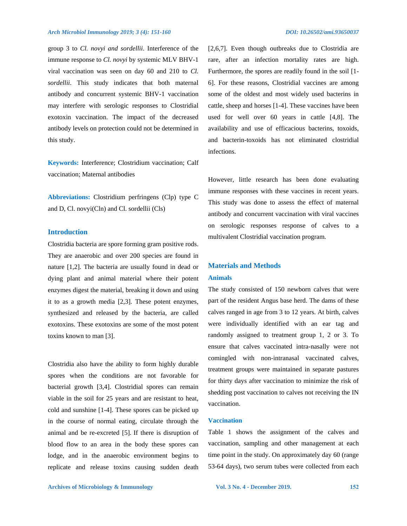group 3 to *Cl. novyi and sordellii*. Interference of the immune response to *Cl. novyi* by systemic MLV BHV-1 viral vaccination was seen on day 60 and 210 to *Cl. sordellii*. This study indicates that both maternal antibody and concurrent systemic BHV-1 vaccination may interfere with serologic responses to Clostridial exotoxin vaccination. The impact of the decreased antibody levels on protection could not be determined in this study.

**Keywords:** Interference; Clostridium vaccination; Calf vaccination; Maternal antibodies

**Abbreviations:** Clostridium perfringens (Clp) type C and D, Cl. novyi(Cln) and Cl. sordellii (Cls)

# **Introduction**

Clostridia bacteria are spore forming gram positive rods. They are anaerobic and over 200 species are found in nature [1,2]. The bacteria are usually found in dead or dying plant and animal material where their potent enzymes digest the material, breaking it down and using it to as a growth media [2,3]. These potent enzymes, synthesized and released by the bacteria, are called exotoxins. These exotoxins are some of the most potent toxins known to man [3].

Clostridia also have the ability to form highly durable spores when the conditions are not favorable for bacterial growth [3,4]. Clostridial spores can remain viable in the soil for 25 years and are resistant to heat, cold and sunshine [1-4]. These spores can be picked up in the course of normal eating, circulate through the animal and be re-excreted [5]. If there is disruption of blood flow to an area in the body these spores can lodge, and in the anaerobic environment begins to replicate and release toxins causing sudden death [2,6,7]. Even though outbreaks due to Clostridia are rare, after an infection mortality rates are high. Furthermore, the spores are readily found in the soil [1- 6]. For these reasons, Clostridial vaccines are among some of the oldest and most widely used bacterins in cattle, sheep and horses [1-4]. These vaccines have been used for well over 60 years in cattle [4,8]. The availability and use of efficacious bacterins, toxoids, and bacterin-toxoids has not eliminated clostridial infections.

However, little research has been done evaluating immune responses with these vaccines in recent years. This study was done to assess the effect of maternal antibody and concurrent vaccination with viral vaccines on serologic responses response of calves to a multivalent Clostridial vaccination program.

# **Materials and Methods**

# **Animals**

The study consisted of 150 newborn calves that were part of the resident Angus base herd. The dams of these calves ranged in age from 3 to 12 years. At birth, calves were individually identified with an ear tag and randomly assigned to treatment group 1, 2 or 3. To ensure that calves vaccinated intra-nasally were not comingled with non-intranasal vaccinated calves, treatment groups were maintained in separate pastures for thirty days after vaccination to minimize the risk of shedding post vaccination to calves not receiving the IN vaccination.

#### **Vaccination**

Table 1 shows the assignment of the calves and vaccination, sampling and other management at each time point in the study. On approximately day 60 (range 53-64 days), two serum tubes were collected from each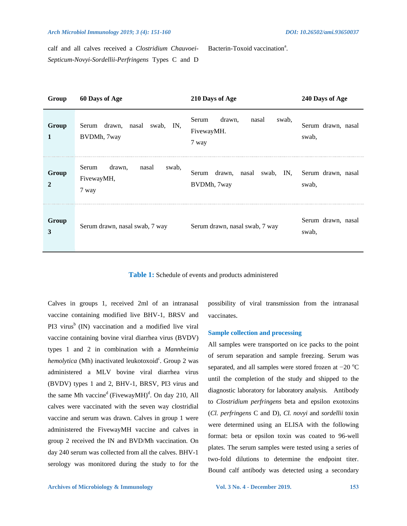#### *Arch Microbiol Immunology 2019; 3 (4): 151-160 DOI: 10.26502/ami.93650037*

calf and all calves received a *Clostridium Chauvoei-Septicum-Novyi-Sordellii-Perfringens* Types C and D

| Group                   | 60 Days of Age                                           | 210 Days of Age                                                   | 240 Days of Age             |
|-------------------------|----------------------------------------------------------|-------------------------------------------------------------------|-----------------------------|
| Group<br>1              | Serum drawn, nasal<br>swab, IN,<br>BVDMh, 7way           | Serum<br>drawn,<br>swab,<br>nasal<br>FivewayMH.<br>7 way          | Serum drawn, nasal<br>swab, |
| Group<br>$\overline{2}$ | Serum<br>drawn,<br>nasal<br>swab,<br>FivewayMH,<br>7 way | drawn, nasal swab, IN, Serum drawn, nasal<br>Serum<br>BVDMh, 7way | swab,                       |
| Group<br>$\mathbf{3}$   | Serum drawn, nasal swab, 7 way                           | Serum drawn, nasal swab, 7 way                                    | Serum drawn, nasal<br>swab, |

**Table 1:** Schedule of events and products administered

Calves in groups 1, received 2ml of an intranasal vaccine containing modified live BHV-1, BRSV and PI3 virus $\sigma$  (IN) vaccination and a modified live viral vaccine containing bovine viral diarrhea virus (BVDV) types 1 and 2 in combination with a *Mannheimia*  hemolytica (Mh) inactivated leukotoxoid<sup>c</sup>. Group 2 was administered a MLV bovine viral diarrhea virus (BVDV) types 1 and 2, BHV-1, BRSV, PI3 virus and the same Mh vaccine<sup>d</sup> (FivewayMH)<sup>d</sup>. On day 210, All calves were vaccinated with the seven way clostridial vaccine and serum was drawn. Calves in group 1 were administered the FivewayMH vaccine and calves in group 2 received the IN and BVD/Mh vaccination. On day 240 serum was collected from all the calves. BHV-1 serology was monitored during the study to for the

possibility of viral transmission from the intranasal vaccinates.

#### **Sample collection and processing**

Bacterin-Toxoid vaccination<sup>a</sup>.

All samples were transported on ice packs to the point of serum separation and sample freezing. Serum was separated, and all samples were stored frozen at  $-20$  °C until the completion of the study and shipped to the diagnostic laboratory for laboratory analysis.Antibody to *Clostridium perfringens* beta and epsilon exotoxins (*Cl. perfringens* C and D), *Cl. novyi* and *sordellii* toxin were determined using an ELISA with the following format: beta or epsilon toxin was coated to 96-well plates. The serum samples were tested using a series of two-fold dilutions to determine the endpoint titer. Bound calf antibody was detected using a secondary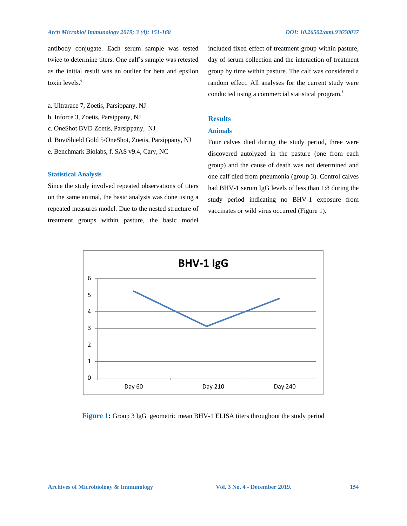antibody conjugate. Each serum sample was tested twice to determine titers. One calf's sample was retested as the initial result was an outlier for beta and epsilon toxin levels.<sup>e</sup>

- a. Ultrarace 7, Zoetis, Parsippany, NJ
- b. Inforce 3, Zoetis, Parsippany, NJ
- c. OneShot BVD Zoetis, Parsippany, NJ
- d. BoviShield Gold 5/OneShot, Zoetis, Parsippany, NJ
- e. Benchmark Biolabs, f. SAS v9.4, Cary, NC

#### **Statistical Analysis**

Since the study involved repeated observations of titers on the same animal, the basic analysis was done using a repeated measures model. Due to the nested structure of treatment groups within pasture, the basic model included fixed effect of treatment group within pasture, day of serum collection and the interaction of treatment group by time within pasture. The calf was considered a random effect. All analyses for the current study were conducted using a commercial statistical program.<sup>f</sup>

# **Results**

# **Animals**

Four calves died during the study period, three were discovered autolyzed in the pasture (one from each group) and the cause of death was not determined and one calf died from pneumonia (group 3). Control calves had BHV-1 serum IgG levels of less than 1:8 during the study period indicating no BHV-1 exposure from vaccinates or wild virus occurred (Figure 1).



#### **Figure 1:** Group 3 IgG geometric mean BHV-1 ELISA titers throughout the study period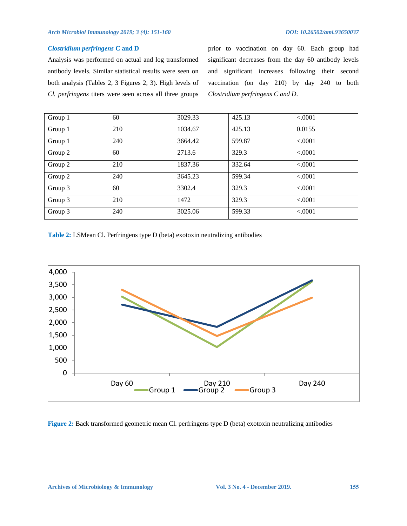# *Clostridium perfringens* **C and D**

Analysis was performed on actual and log transformed antibody levels. Similar statistical results were seen on both analysis (Tables 2, 3 Figures 2, 3). High levels of *Cl. perfringens* titers were seen across all three groups prior to vaccination on day 60. Each group had significant decreases from the day 60 antibody levels and significant increases following their second vaccination (on day 210) by day 240 to both *Clostridium perfringens C and D*.

| Group 1 | 60  | 3029.33 | 425.13 | < 0.001 |
|---------|-----|---------|--------|---------|
| Group 1 | 210 | 1034.67 | 425.13 | 0.0155  |
| Group 1 | 240 | 3664.42 | 599.87 | < .0001 |
| Group 2 | 60  | 2713.6  | 329.3  | < 0.001 |
| Group 2 | 210 | 1837.36 | 332.64 | < 0.001 |
| Group 2 | 240 | 3645.23 | 599.34 | < .0001 |
| Group 3 | 60  | 3302.4  | 329.3  | < .0001 |
| Group 3 | 210 | 1472    | 329.3  | < 0.001 |
| Group 3 | 240 | 3025.06 | 599.33 | < .0001 |

**Table 2:** LSMean Cl. Perfringens type D (beta) exotoxin neutralizing antibodies



**Figure 2:** Back transformed geometric mean Cl. perfringens type D (beta) exotoxin neutralizing antibodies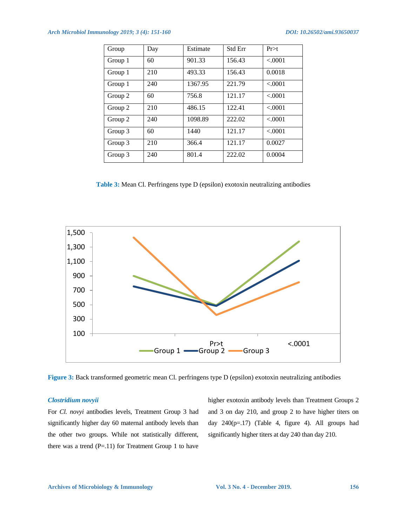# *Arch Microbiol Immunology 2019; 3 (4): 151-160 DOI: 10.26502/ami.93650037*

| Group   | Day | Estimate | <b>Std Err</b> | Pr > t  |
|---------|-----|----------|----------------|---------|
| Group 1 | 60  | 901.33   | 156.43         | < .0001 |
| Group 1 | 210 | 493.33   | 156.43         | 0.0018  |
| Group 1 | 240 | 1367.95  | 221.79         | < .0001 |
| Group 2 | 60  | 756.8    | 121.17         | < 0001  |
| Group 2 | 210 | 486.15   | 122.41         | < .0001 |
| Group 2 | 240 | 1098.89  | 222.02         | < 0001  |
| Group 3 | 60  | 1440     | 121.17         | < 0.001 |
| Group 3 | 210 | 366.4    | 121.17         | 0.0027  |
| Group 3 | 240 | 801.4    | 222.02         | 0.0004  |

**Table 3:** Mean Cl. Perfringens type D (epsilon) exotoxin neutralizing antibodies



**Figure 3:** Back transformed geometric mean Cl. perfringens type D (epsilon) exotoxin neutralizing antibodies

# *Clostridium novyii*

For *Cl. novyi* antibodies levels, Treatment Group 3 had significantly higher day 60 maternal antibody levels than the other two groups. While not statistically different, there was a trend  $(P=.11)$  for Treatment Group 1 to have higher exotoxin antibody levels than Treatment Groups 2 and 3 on day 210, and group 2 to have higher titers on day 240(p=.17) (Table 4, figure 4). All groups had significantly higher titers at day 240 than day 210.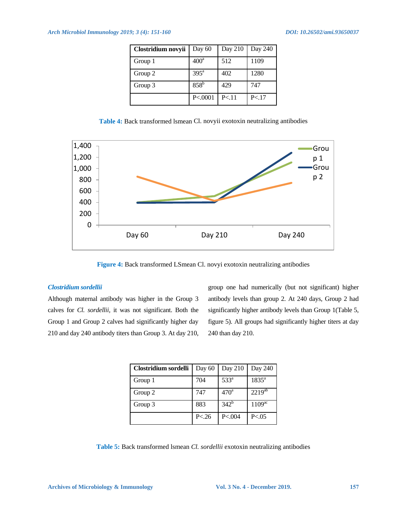| Clostridium novyii | Day 60             | Day 210 | Day 240 |
|--------------------|--------------------|---------|---------|
| Group 1            | 400 <sup>a</sup>   | 512     | 1109    |
| Group 2            | $395^{\mathrm{a}}$ | 402     | 1280    |
| Group 3            | $858^{\rm b}$      | 429     | 747     |
|                    | P < 0001           | P < 11  | P < 17  |

**Table 4:** Back transformed lsmean Cl. novyii exotoxin neutralizing antibodies



**Figure 4:** Back transformed LSmean Cl. novyi exotoxin neutralizing antibodies

# *Clostridium sordellii*

Although maternal antibody was higher in the Group 3 calves for *Cl. sordellii,* it was not significant. Both the Group 1 and Group 2 calves had significantly higher day 210 and day 240 antibody titers than Group 3. At day 210, group one had numerically (but not significant) higher antibody levels than group 2. At 240 days, Group 2 had significantly higher antibody levels than Group 1(Table 5, figure 5). All groups had significantly higher titers at day 240 than day 210.

| Clostridium sordelli | Day 60 | Day 210          | Day 240            |
|----------------------|--------|------------------|--------------------|
| Group 1              | 704    | 533 <sup>a</sup> | $1835^a$           |
| Group 2              | 747    | 470 <sup>a</sup> | $2219^{ab}$        |
| Group 3              | 883    | $342^{b}$        | 1109 <sup>ac</sup> |
|                      | P < 26 | P < 0.04         | P < 0.05           |

**Table 5:** Back transformed lsmean *Cl. sordellii* exotoxin neutralizing antibodies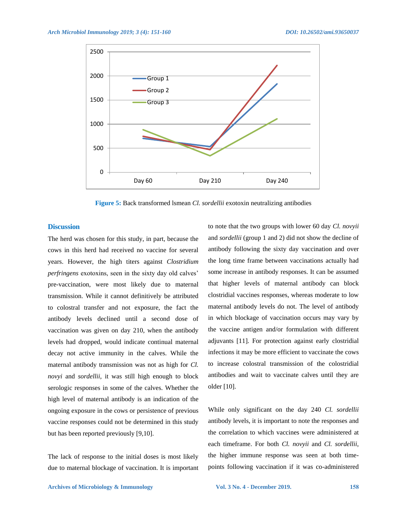

**Figure 5:** Back transformed lsmean *Cl. sordellii* exotoxin neutralizing antibodies

#### **Discussion**

The herd was chosen for this study, in part, because the cows in this herd had received no vaccine for several years. However, the high titers against *Clostridium perfringens* exotoxins, seen in the sixty day old calves' pre-vaccination, were most likely due to maternal transmission. While it cannot definitively be attributed to colostral transfer and not exposure, the fact the antibody levels declined until a second dose of vaccination was given on day 210, when the antibody levels had dropped, would indicate continual maternal decay not active immunity in the calves. While the maternal antibody transmission was not as high for *Cl. novyi* and *sordellii*, it was still high enough to block serologic responses in some of the calves. Whether the high level of maternal antibody is an indication of the ongoing exposure in the cows or persistence of previous vaccine responses could not be determined in this study but has been reported previously [9,10].

The lack of response to the initial doses is most likely due to maternal blockage of vaccination. It is important to note that the two groups with lower 60 day *Cl. novyii* and *sordellii* (group 1 and 2) did not show the decline of antibody following the sixty day vaccination and over the long time frame between vaccinations actually had some increase in antibody responses. It can be assumed that higher levels of maternal antibody can block clostridial vaccines responses, whereas moderate to low maternal antibody levels do not. The level of antibody in which blockage of vaccination occurs may vary by the vaccine antigen and/or formulation with different adjuvants [11]. For protection against early clostridial infections it may be more efficient to vaccinate the cows to increase colostral transmission of the colostridial antibodies and wait to vaccinate calves until they are older [10].

While only significant on the day 240 *Cl. sordellii* antibody levels, it is important to note the responses and the correlation to which vaccines were administered at each timeframe. For both *Cl. novyii* and *Cl. sordellii*, the higher immune response was seen at both timepoints following vaccination if it was co-administered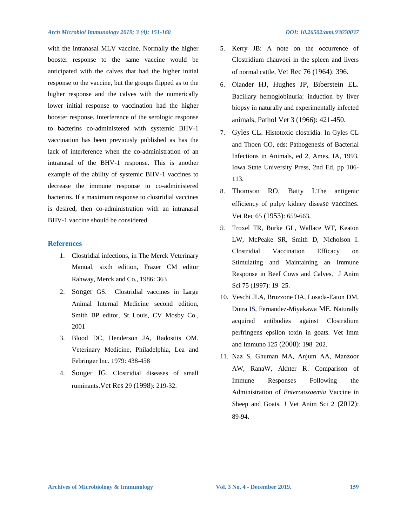with the intranasal MLV vaccine. Normally the higher booster response to the same vaccine would be anticipated with the calves that had the higher initial response to the vaccine, but the groups flipped as to the higher response and the calves with the numerically lower initial response to vaccination had the higher booster response. Interference of the serologic response to bacterins co-administered with systemic BHV-1 vaccination has been previously published as has the lack of interference when the co-administration of an intranasal of the BHV-1 response. This is another example of the ability of systemic BHV-1 vaccines to decrease the immune response to co-administered bacterins. If a maximum response to clostridial vaccines is desired, then co-administration with an intranasal BHV-1 vaccine should be considered.

#### **References**

- 1. Clostridial infections, in The Merck Veterinary Manual, sixth edition, Frazer CM editor Rahway, Merck and Co., 1986: 363
- 2. Songer GS. Clostridial vaccines in Large Animal Internal Medicine second edition, Smith BP editor, St Louis, CV Mosby Co., 2001
- 3. Blood DC, Henderson JA, Radostits OM. Veterinary Medicine, Philadelphia, Lea and Febringer Inc. 1979: 438-458
- 4. Songer JG. Clostridial diseases of small ruminants.Vet Res 29 (1998): 219-32.
- 5. Kerry JB: A note on the occurrence of Clostridium chauvoei in the spleen and livers of normal cattle. Vet Rec 76 (1964): 396.
- 6. Olander HJ, Hughes JP, Biberstein EL. Bacillary hemoglobinuria: induction by liver biopsy in naturally and experimentally infected animals, Pathol Vet 3 (1966): 421-450.
- 7. Gyles CL. Histotoxic clostridia. In Gyles CL and Thoen CO, eds: Pathogenesis of Bacterial Infections in Animals, ed 2, Ames, IA, 1993, Iowa State University Press, 2nd Ed, pp 106- 113.
- 8. Thomson RO, Batty I.The antigenic efficiency of pulpy kidney disease vaccines. Vet Rec 65 (1953): 659-663.
- *9.* Troxel TR, Burke GL, Wallace WT, Keaton LW, McPeake SR, Smith D, Nicholson I. Clostridial Vaccination Efficacy on Stimulating and Maintaining an Immune Response in Beef Cows and Calves. J Anim Sci 75 (1997): 19–25.
- 10. Veschi JLA, Bruzzone OA, Losada-Eaton DM, Dutra IS, Fernandez-Miyakawa ME. Naturally acquired antibodies against Clostridium perfringens epsilon toxin in goats. Vet Imm and Immuno 125 (2008): 198–202.
- 11. Naz S, Ghuman MA, Anjum AA, Manzoor AW, RanaW, Akhter R. Comparison of Immune Responses Following the Administration of *Enterotoxaemia* Vaccine in Sheep and Goats. J Vet Anim Sci 2 (2012): 89-94.